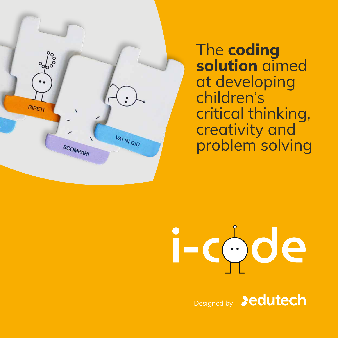

The **coding solution** aimed at developing children's critical thinking, creativity and problem solving

# i-code

Designed by **Dedutech**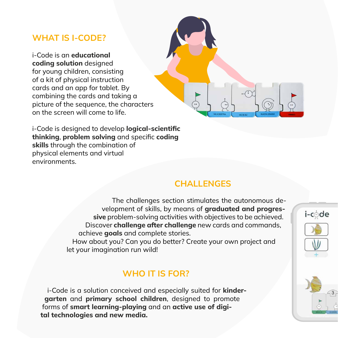### **WHAT IS I-CODE?**

i-Code is an **educational coding solution** designed for young children, consisting of a kit of physical instruction cards and an app for tablet. By combining the cards and taking a picture of the sequence, the characters on the screen will come to life.



i-Code is designed to develop **logical-scientific thinking**, **problem solving** and specific **coding skills** through the combination of physical elements and virtual environments.

### **CHALLENGES**

The challenges section stimulates the autonomous development of skills, by means of **graduated and progressive** problem-solving activities with objectives to be achieved. Discover **challenge after challenge** new cards and commands, achieve **goals** and complete stories.

How about you? Can you do better? Create your own project and let your imagination run wild!

### **WHO IT IS FOR?**

i-Code is a solution conceived and especially suited for **kindergarten** and **primary school children**, designed to promote forms of **smart learning-playing** and an **active use of digital technologies and new media.**



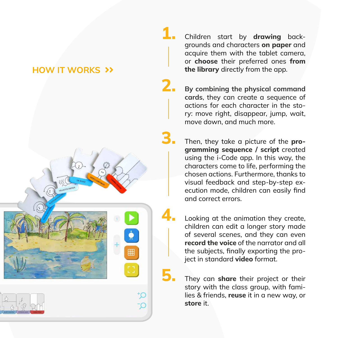### **HOW IT WORKS >>**



Children start by **drawing** backgrounds and characters **on paper** and acquire them with the tablet camera, or **choose** their preferred ones **from the library** directly from the app.

**1.**

**2.**

**3.**

**5.**

**4.**

**By combining the physical command cards**, they can create a sequence of actions for each character in the story: move right, disappear, jump, wait, move down, and much more.

Then, they take a picture of the **programming sequence / script** created using the i-Code app. In this way, the characters come to life, performing the chosen actions. Furthermore, thanks to visual feedback and step-by-step execution mode, children can easily find and correct errors.

Looking at the animation they create, children can edit a longer story made of several scenes, and they can even **record the voice** of the narrator and all the subjects, finally exporting the project in standard **video** format.

They can **share** their project or their story with the class group, with families & friends, **reuse** it in a new way, or **store** it.